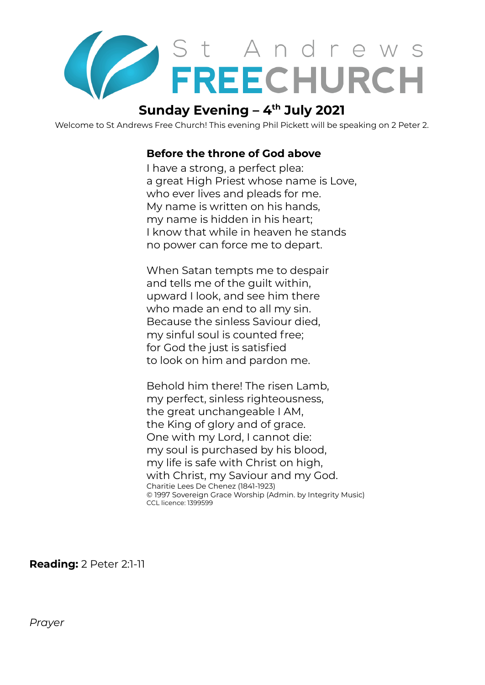

# **Sunday Evening – 4 th July 2021**

Welcome to St Andrews Free Church! This evening Phil Pickett will be speaking on 2 Peter 2.

### **Before the throne of God above**

I have a strong, a perfect plea: a great High Priest whose name is Love, who ever lives and pleads for me. My name is written on his hands, my name is hidden in his heart; I know that while in heaven he stands no power can force me to depart.

When Satan tempts me to despair and tells me of the guilt within, upward I look, and see him there who made an end to all my sin. Because the sinless Saviour died, my sinful soul is counted free; for God the just is satisfied to look on him and pardon me.

Behold him there! The risen Lamb, my perfect, sinless righteousness, the great unchangeable I AM, the King of glory and of grace. One with my Lord, I cannot die: my soul is purchased by his blood, my life is safe with Christ on high, with Christ, my Saviour and my God. Charitie Lees De Chenez (1841-1923) © 1997 Sovereign Grace Worship (Admin. by Integrity Music) CCL licence: 1399599

**Reading:** 2 Peter 2:1-11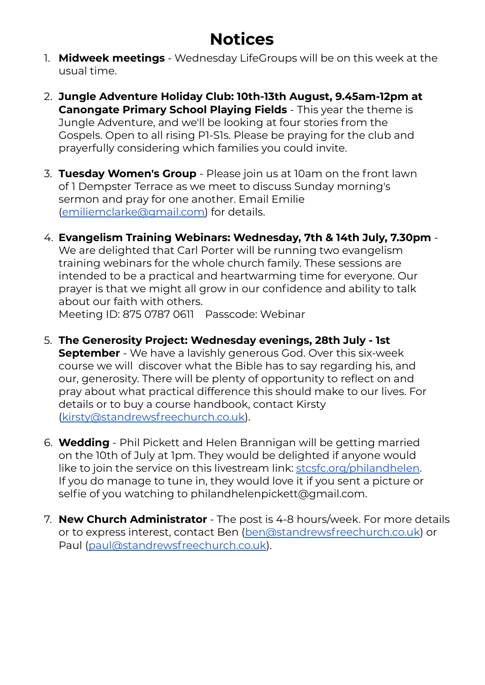# **Notices**

- 1. **Midweek meetings** Wednesday LifeGroups will be on this week at the usual time.
- 2. **Jungle Adventure Holiday Club: 10th-13th August, 9.45am-12pm at Canongate Primary School Playing Fields** - This year the theme is Jungle Adventure, and we'll be looking at four stories from the Gospels. Open to all rising P1-S1s. Please be praying for the club and prayerfully considering which families you could invite.
- 3. **Tuesday Women's Group** Please join us at 10am on the front lawn of 1 Dempster Terrace as we meet to discuss Sunday morning's sermon and pray for one another. Email Emilie [\(emiliemclarke@gmail.com\)](mailto:emiliemclarke@gmail.com) for details.
- 4. **Evangelism Training Webinars: Wednesday, 7th & 14th July, 7.30pm** We are delighted that Carl Porter will be running two evangelism training webinars for the whole church family. These sessions are intended to be a practical and heartwarming time for everyone. Our prayer is that we might all grow in our confidence and ability to talk about our faith with others.

Meeting ID: 875 0787 0611 Passcode: Webinar

- 5. **The Generosity Project: Wednesday evenings, 28th July - 1st September** - We have a lavishly generous God. Over this six-week course we will discover what the Bible has to say regarding his, and our, generosity. There will be plenty of opportunity to reflect on and pray about what practical difference this should make to our lives. For details or to buy a course handbook, contact Kirsty [\(kirsty@standrewsfreechurch.co.uk\)](mailto:kirsty@standrewsfreechurch.co.uk).
- 6. **Wedding** Phil Pickett and Helen Brannigan will be getting married on the 10th of July at 1pm. They would be delighted if anyone would like to join the service on this livestream link: [stcsfc.org/philandhelen.](http://stcsfc.org/philandhelen) If you do manage to tune in, they would love it if you sent a picture or selfie of you watching to philandhelenpickett@gmail.com.
- 7. **New Church Administrator** The post is 4-8 hours/week. For more details or to express interest, contact Ben [\(ben@standrewsfreechurch.co.uk](mailto:ben@standrewsfreechurch.co.uk)) or Paul ([paul@standrewsfreechurch.co.uk](mailto:paul@standrewsfreechurch.co.uk)).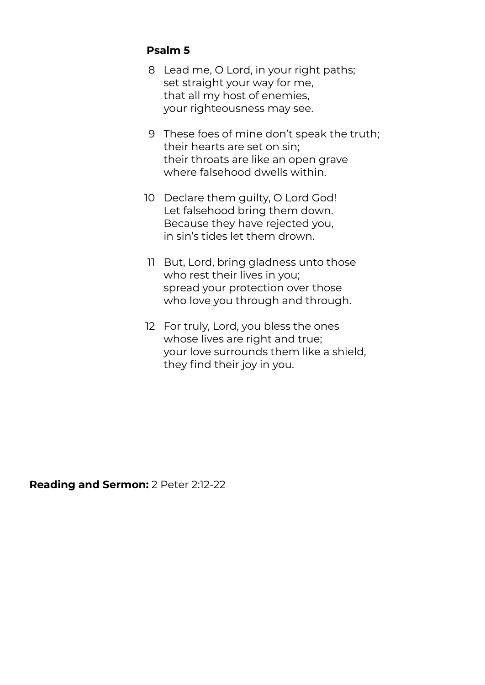## **Psalm 5**

- 8 Lead me, O Lord, in your right paths; set straight your way for me, that all my host of enemies, your righteousness may see.
- 9 These foes of mine don't speak the truth; their hearts are set on sin; their throats are like an open grave where falsehood dwells within.
- 10 Declare them guilty, O Lord God! Let falsehood bring them down. Because they have rejected you, in sin's tides let them drown.
- 11 But, Lord, bring gladness unto those who rest their lives in you; spread your protection over those who love you through and through.
- 12 For truly, Lord, you bless the ones whose lives are right and true; your love surrounds them like a shield, they find their joy in you.

**Reading and Sermon:** 2 Peter 2:12-22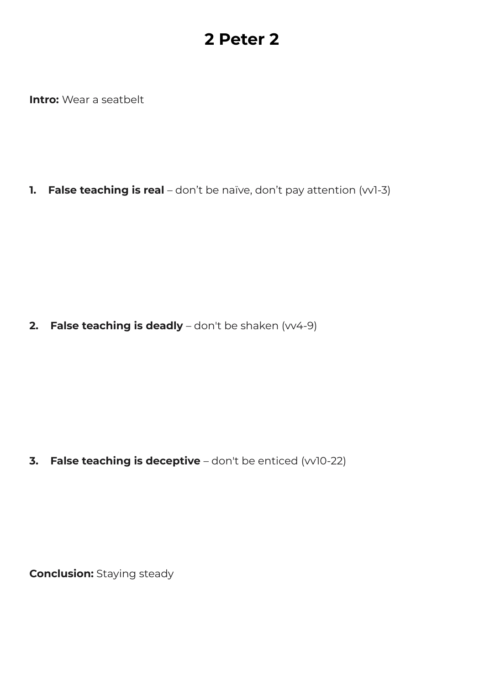# **2 Peter 2**

**Intro:** Wear a seatbelt

**1. False teaching is real** – don't be naïve, don't pay attention (vv1-3)

**2. False teaching is deadly** – don't be shaken (vv4-9)

**3. False teaching is deceptive** – don't be enticed (vv10-22)

**Conclusion:** Staying steady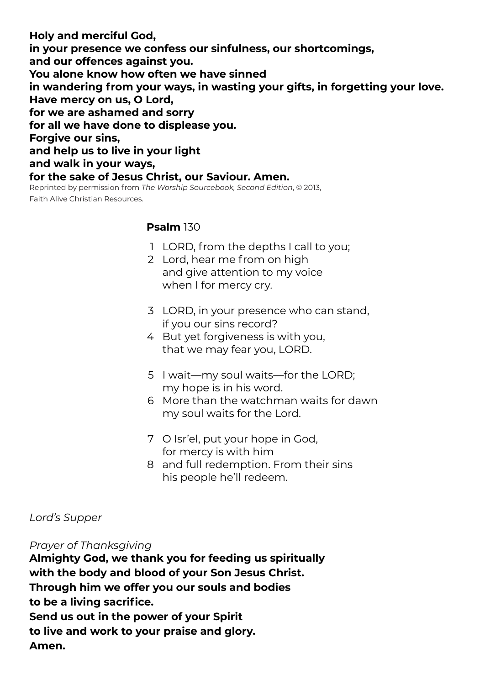**Holy and merciful God, in your presence we confess our sinfulness, our shortcomings, and our offences against you. You alone know how often we have sinned in wandering from your ways, in wasting your gifts, in forgetting your love. Have mercy on us, O Lord, for we are ashamed and sorry for all we have done to displease you. Forgive our sins, and help us to live in your light and walk in your ways, for the sake of Jesus Christ, our Saviour. Amen.** Reprinted by permission from *The Worship Sourcebook, Second Edition*, © 2013,

Faith Alive Christian Resources.

### **Psalm** 130

- 1 LORD, from the depths I call to you;
- 2 Lord, hear me from on high and give attention to my voice when I for mercy cry.
- 3 LORD, in your presence who can stand, if you our sins record?
- 4 But yet forgiveness is with you, that we may fear you, LORD.
- 5 I wait—my soul waits—for the LORD; my hope is in his word.
- 6 More than the watchman waits for dawn my soul waits for the Lord.
- 7 O Isr'el, put your hope in God, for mercy is with him
- 8 and full redemption. From their sins his people he'll redeem.

### *Lord's Supper*

#### *Prayer of Thanksgiving*

**Almighty God, we thank you for feeding us spiritually with the body and blood of your Son Jesus Christ. Through him we offer you our souls and bodies to be a living sacrifice. Send us out in the power of your Spirit to live and work to your praise and glory. Amen.**